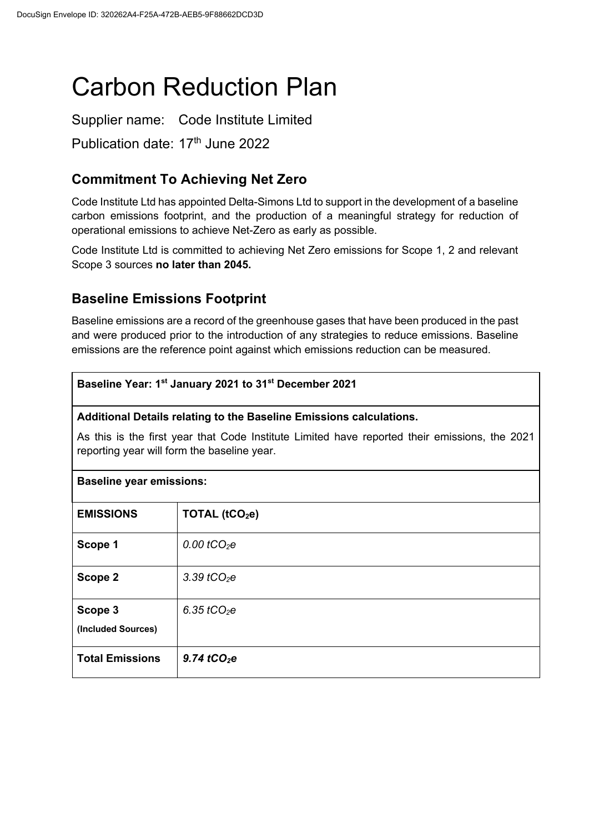# Carbon Reduction Plan

Supplier name: Code Institute Limited Publication date: 17<sup>th</sup> June 2022

## **Commitment To Achieving Net Zero**

Code Institute Ltd has appointed Delta-Simons Ltd to support in the development of a baseline carbon emissions footprint, and the production of a meaningful strategy for reduction of operational emissions to achieve Net-Zero as early as possible.

Code Institute Ltd is committed to achieving Net Zero emissions for Scope 1, 2 and relevant Scope 3 sources **no later than 2045.**

## **Baseline Emissions Footprint**

Baseline emissions are a record of the greenhouse gases that have been produced in the past and were produced prior to the introduction of any strategies to reduce emissions. Baseline emissions are the reference point against which emissions reduction can be measured.

#### **Baseline Year: 1st January 2021 to 31st December 2021**

#### **Additional Details relating to the Baseline Emissions calculations.**

As this is the first year that Code Institute Limited have reported their emissions, the 2021 reporting year will form the baseline year.

| <b>Baseline year emissions:</b> |                                |  |
|---------------------------------|--------------------------------|--|
| <b>EMISSIONS</b>                | TOTAL (tCO <sub>2</sub> e)     |  |
| Scope 1                         | $0.00 \text{ } t \text{CO}_2e$ |  |
| Scope 2                         | 3.39 $tCO2e$                   |  |
| Scope 3<br>(Included Sources)   | $6.35$ tCO <sub>2</sub> e      |  |
| <b>Total Emissions</b>          | 9.74 $tCO2e$                   |  |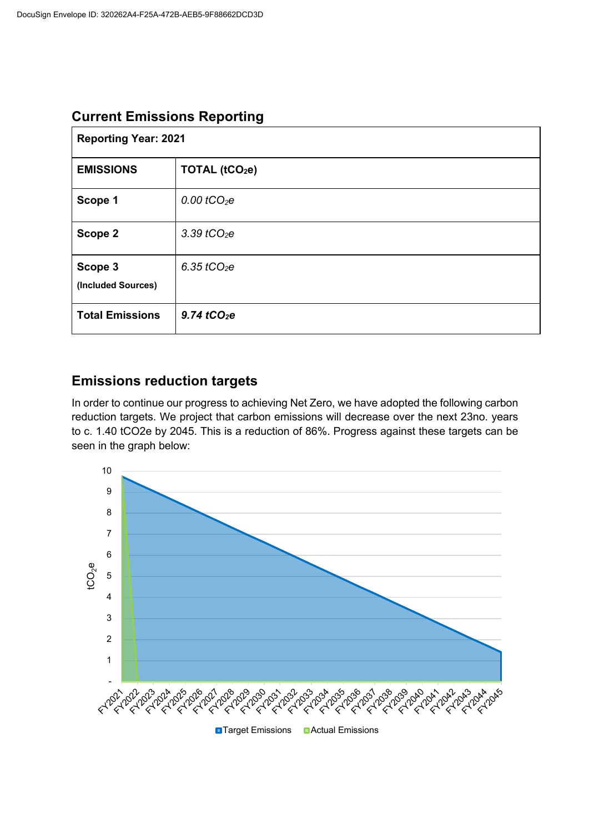| <b>Current Emissions Reporting</b> |  |  |
|------------------------------------|--|--|
|------------------------------------|--|--|

| <b>Reporting Year: 2021</b>   |                           |  |
|-------------------------------|---------------------------|--|
| <b>EMISSIONS</b>              | TOTAL $(tCO2e)$           |  |
| Scope 1                       | $0.00$ tCO <sub>2</sub> e |  |
| Scope 2                       | 3.39 $tCO2e$              |  |
| Scope 3<br>(Included Sources) | 6.35 $tCO2e$              |  |
| <b>Total Emissions</b>        | $9.74$ tCO <sub>2</sub> e |  |

## **Emissions reduction targets**

In order to continue our progress to achieving Net Zero, we have adopted the following carbon reduction targets. We project that carbon emissions will decrease over the next 23no. years to c. 1.40 tCO2e by 2045. This is a reduction of 86%. Progress against these targets can be seen in the graph below: